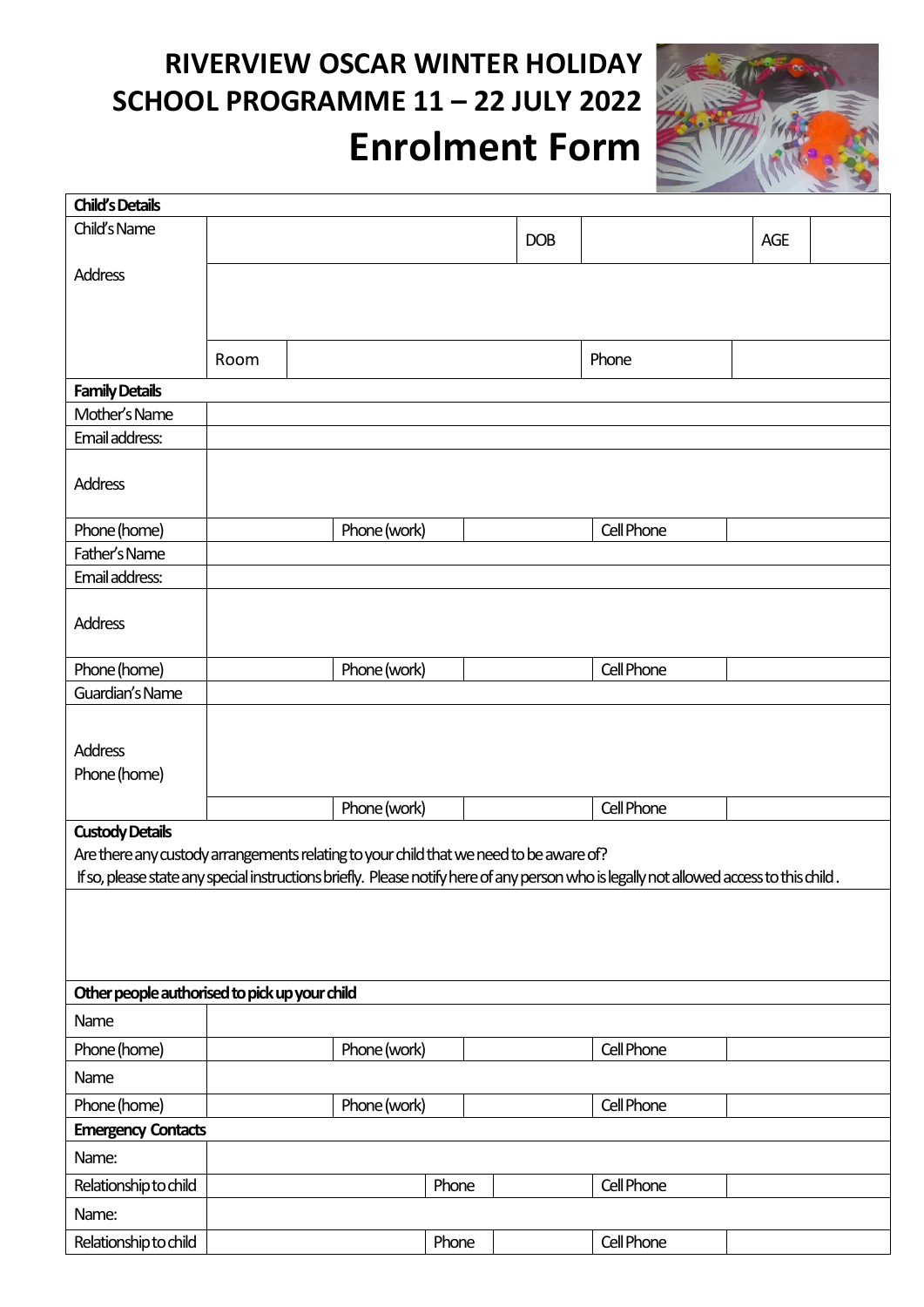# **RIVERVIEW OSCAR WINTER HOLIDAY SCHOOL PROGRAMME 11 – 22 JULY 2022 Enrolment Form**



| <b>Child's Details</b>                                                                                                                  |      |                                                                                        |       |            |            |     |  |
|-----------------------------------------------------------------------------------------------------------------------------------------|------|----------------------------------------------------------------------------------------|-------|------------|------------|-----|--|
| Child's Name                                                                                                                            |      |                                                                                        |       | <b>DOB</b> |            | AGE |  |
| <b>Address</b>                                                                                                                          |      |                                                                                        |       |            |            |     |  |
|                                                                                                                                         |      |                                                                                        |       |            |            |     |  |
|                                                                                                                                         |      |                                                                                        |       |            |            |     |  |
|                                                                                                                                         | Room |                                                                                        |       |            | Phone      |     |  |
| <b>Family Details</b>                                                                                                                   |      |                                                                                        |       |            |            |     |  |
| Mother's Name                                                                                                                           |      |                                                                                        |       |            |            |     |  |
| Email address:                                                                                                                          |      |                                                                                        |       |            |            |     |  |
| <b>Address</b>                                                                                                                          |      |                                                                                        |       |            |            |     |  |
| Phone (home)                                                                                                                            |      | Phone (work)                                                                           |       |            | Cell Phone |     |  |
| Father's Name                                                                                                                           |      |                                                                                        |       |            |            |     |  |
| Email address:                                                                                                                          |      |                                                                                        |       |            |            |     |  |
| <b>Address</b>                                                                                                                          |      |                                                                                        |       |            |            |     |  |
| Phone (home)                                                                                                                            |      | Phone (work)                                                                           |       |            | Cell Phone |     |  |
| Guardian's Name                                                                                                                         |      |                                                                                        |       |            |            |     |  |
| <b>Address</b><br>Phone (home)                                                                                                          |      |                                                                                        |       |            |            |     |  |
|                                                                                                                                         |      | Phone (work)                                                                           |       |            | Cell Phone |     |  |
| <b>Custody Details</b>                                                                                                                  |      |                                                                                        |       |            |            |     |  |
|                                                                                                                                         |      | Are there any custody arrangements relating to your child that we need to be aware of? |       |            |            |     |  |
| If so, please state any special instructions briefly. Please notify here of any person who is legally not allowed access to this child. |      |                                                                                        |       |            |            |     |  |
|                                                                                                                                         |      |                                                                                        |       |            |            |     |  |
|                                                                                                                                         |      |                                                                                        |       |            |            |     |  |
|                                                                                                                                         |      |                                                                                        |       |            |            |     |  |
| Other people authorised to pick up your child                                                                                           |      |                                                                                        |       |            |            |     |  |
| Name                                                                                                                                    |      |                                                                                        |       |            |            |     |  |
| Phone (home)                                                                                                                            |      | Phone (work)                                                                           |       |            | Cell Phone |     |  |
| Name                                                                                                                                    |      |                                                                                        |       |            |            |     |  |
| Phone (home)                                                                                                                            |      | Phone (work)                                                                           |       |            | Cell Phone |     |  |
| <b>Emergency Contacts</b>                                                                                                               |      |                                                                                        |       |            |            |     |  |
| Name:                                                                                                                                   |      |                                                                                        |       |            |            |     |  |
| Relationship to child                                                                                                                   |      |                                                                                        | Phone |            | Cell Phone |     |  |
| Name:                                                                                                                                   |      |                                                                                        |       |            |            |     |  |
| Relationship to child                                                                                                                   |      |                                                                                        | Phone |            | Cell Phone |     |  |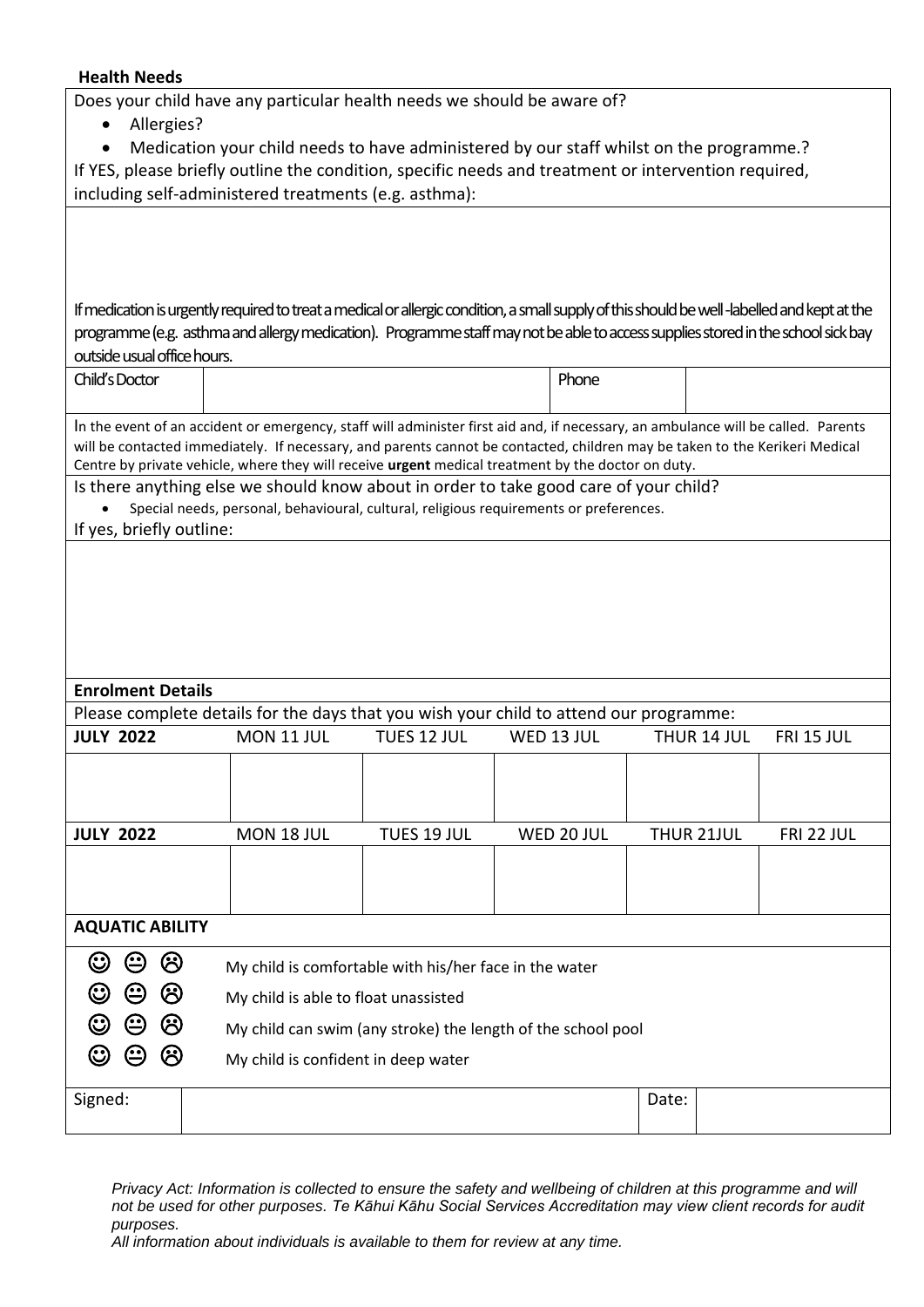### **Health Needs**

Does your child have any particular health needs we should be aware of?

|                                                                                         |               | Allergies? |                                                              |                                                                                                                                                                                                                                                                                                                                                                                                                                                                                                                                                                                                                                                                                                                                                                                                                                              |             |  |            |       |             |                   |
|-----------------------------------------------------------------------------------------|---------------|------------|--------------------------------------------------------------|----------------------------------------------------------------------------------------------------------------------------------------------------------------------------------------------------------------------------------------------------------------------------------------------------------------------------------------------------------------------------------------------------------------------------------------------------------------------------------------------------------------------------------------------------------------------------------------------------------------------------------------------------------------------------------------------------------------------------------------------------------------------------------------------------------------------------------------------|-------------|--|------------|-------|-------------|-------------------|
| Medication your child needs to have administered by our staff whilst on the programme.? |               |            |                                                              |                                                                                                                                                                                                                                                                                                                                                                                                                                                                                                                                                                                                                                                                                                                                                                                                                                              |             |  |            |       |             |                   |
|                                                                                         |               |            |                                                              | If YES, please briefly outline the condition, specific needs and treatment or intervention required,                                                                                                                                                                                                                                                                                                                                                                                                                                                                                                                                                                                                                                                                                                                                         |             |  |            |       |             |                   |
|                                                                                         |               |            |                                                              | including self-administered treatments (e.g. asthma):                                                                                                                                                                                                                                                                                                                                                                                                                                                                                                                                                                                                                                                                                                                                                                                        |             |  |            |       |             |                   |
| Child's Doctor                                                                          |               |            | outside usual office hours.<br>If yes, briefly outline:      | If medication is urgently required to treat a medical or allergic condition, a small supply of this should be well-labelled and kept at the<br>programme (e.g. asthma and allergy medication). Programme staff may not be able to access supplies stored in the school sick bay<br>In the event of an accident or emergency, staff will administer first aid and, if necessary, an ambulance will be called. Parents<br>will be contacted immediately. If necessary, and parents cannot be contacted, children may be taken to the Kerikeri Medical<br>Centre by private vehicle, where they will receive urgent medical treatment by the doctor on duty.<br>Is there anything else we should know about in order to take good care of your child?<br>Special needs, personal, behavioural, cultural, religious requirements or preferences. |             |  | Phone      |       |             |                   |
|                                                                                         |               |            |                                                              |                                                                                                                                                                                                                                                                                                                                                                                                                                                                                                                                                                                                                                                                                                                                                                                                                                              |             |  |            |       |             |                   |
|                                                                                         |               |            |                                                              |                                                                                                                                                                                                                                                                                                                                                                                                                                                                                                                                                                                                                                                                                                                                                                                                                                              |             |  |            |       |             |                   |
| <b>Enrolment Details</b>                                                                |               |            |                                                              |                                                                                                                                                                                                                                                                                                                                                                                                                                                                                                                                                                                                                                                                                                                                                                                                                                              |             |  |            |       |             |                   |
| Please complete details for the days that you wish your child to attend our programme:  |               |            |                                                              |                                                                                                                                                                                                                                                                                                                                                                                                                                                                                                                                                                                                                                                                                                                                                                                                                                              |             |  |            |       |             |                   |
| <b>JULY 2022</b>                                                                        |               |            |                                                              | MON 11 JUL                                                                                                                                                                                                                                                                                                                                                                                                                                                                                                                                                                                                                                                                                                                                                                                                                                   | TUES 12 JUL |  | WED 13 JUL |       | THUR 14 JUL | <b>FRI 15 JUL</b> |
|                                                                                         |               |            |                                                              |                                                                                                                                                                                                                                                                                                                                                                                                                                                                                                                                                                                                                                                                                                                                                                                                                                              |             |  |            |       |             |                   |
| <b>JULY 2022</b>                                                                        |               |            |                                                              | MON 18 JUL                                                                                                                                                                                                                                                                                                                                                                                                                                                                                                                                                                                                                                                                                                                                                                                                                                   | TUES 19 JUL |  | WED 20 JUL |       | THUR 21JUL  | <b>FRI 22 JUL</b> |
|                                                                                         |               |            |                                                              |                                                                                                                                                                                                                                                                                                                                                                                                                                                                                                                                                                                                                                                                                                                                                                                                                                              |             |  |            |       |             |                   |
| <b>AQUATIC ABILITY</b>                                                                  |               |            |                                                              |                                                                                                                                                                                                                                                                                                                                                                                                                                                                                                                                                                                                                                                                                                                                                                                                                                              |             |  |            |       |             |                   |
| ☺                                                                                       | $\bm{\Theta}$ | ල          |                                                              | My child is comfortable with his/her face in the water                                                                                                                                                                                                                                                                                                                                                                                                                                                                                                                                                                                                                                                                                                                                                                                       |             |  |            |       |             |                   |
| $\mathbb{C}$                                                                            | ☺             | ඏ          | My child is able to float unassisted                         |                                                                                                                                                                                                                                                                                                                                                                                                                                                                                                                                                                                                                                                                                                                                                                                                                                              |             |  |            |       |             |                   |
| V                                                                                       | ☺             | ඏ          | My child can swim (any stroke) the length of the school pool |                                                                                                                                                                                                                                                                                                                                                                                                                                                                                                                                                                                                                                                                                                                                                                                                                                              |             |  |            |       |             |                   |
| $\mathbb{C}$                                                                            | ☺             | ඏ          | My child is confident in deep water                          |                                                                                                                                                                                                                                                                                                                                                                                                                                                                                                                                                                                                                                                                                                                                                                                                                                              |             |  |            |       |             |                   |
| Signed:                                                                                 |               |            |                                                              |                                                                                                                                                                                                                                                                                                                                                                                                                                                                                                                                                                                                                                                                                                                                                                                                                                              |             |  |            | Date: |             |                   |

*Privacy Act: Information is collected to ensure the safety and wellbeing of children at this programme and will not be used for other purposes. Te Kāhui Kāhu Social Services Accreditation may view client records for audit purposes.*

*All information about individuals is available to them for review at any time.*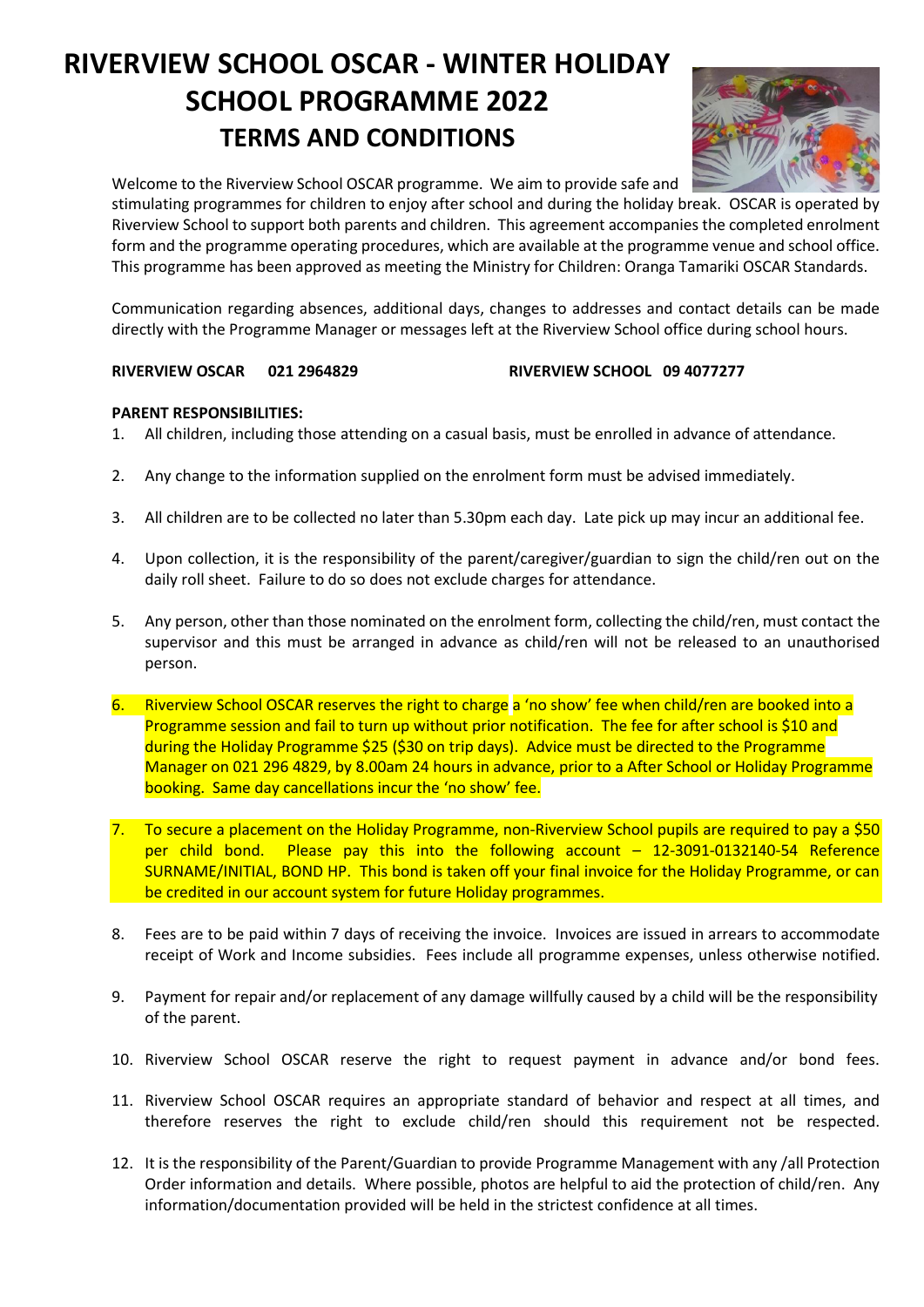## **RIVERVIEW SCHOOL OSCAR - WINTER HOLIDAY SCHOOL PROGRAMME 2022 TERMS AND CONDITIONS**



Welcome to the Riverview School OSCAR programme. We aim to provide safe and

stimulating programmes for children to enjoy after school and during the holiday break. OSCAR is operated by Riverview School to support both parents and children. This agreement accompanies the completed enrolment form and the programme operating procedures, which are available at the programme venue and school office. This programme has been approved as meeting the Ministry for Children: Oranga Tamariki OSCAR Standards.

Communication regarding absences, additional days, changes to addresses and contact details can be made directly with the Programme Manager or messages left at the Riverview School office during school hours.

### **RIVERVIEW OSCAR 021 2964829 RIVERVIEW SCHOOL 09 4077277**

### **PARENT RESPONSIBILITIES:**

- 1. All children, including those attending on a casual basis, must be enrolled in advance of attendance.
- 2. Any change to the information supplied on the enrolment form must be advised immediately.
- 3. All children are to be collected no later than 5.30pm each day. Late pick up may incur an additional fee.
- 4. Upon collection, it is the responsibility of the parent/caregiver/guardian to sign the child/ren out on the daily roll sheet. Failure to do so does not exclude charges for attendance.
- 5. Any person, other than those nominated on the enrolment form, collecting the child/ren, must contact the supervisor and this must be arranged in advance as child/ren will not be released to an unauthorised person.
- 6. Riverview School OSCAR reserves the right to charge a 'no show' fee when child/ren are booked into a Programme session and fail to turn up without prior notification. The fee for after school is \$10 and during the Holiday Programme \$25 (\$30 on trip days). Advice must be directed to the Programme Manager on 021 296 4829, by 8.00am 24 hours in advance, prior to a After School or Holiday Programme booking. Same day cancellations incur the 'no show' fee.
- 7. To secure a placement on the Holiday Programme, non-Riverview School pupils are required to pay a \$50 per child bond. Please pay this into the following account – 12-3091-0132140-54 Reference SURNAME/INITIAL, BOND HP. This bond is taken off your final invoice for the Holiday Programme, or can be credited in our account system for future Holiday programmes.
- 8. Fees are to be paid within 7 days of receiving the invoice. Invoices are issued in arrears to accommodate receipt of Work and Income subsidies. Fees include all programme expenses, unless otherwise notified.
- 9. Payment for repair and/or replacement of any damage willfully caused by a child will be the responsibility of the parent.
- 10. Riverview School OSCAR reserve the right to request payment in advance and/or bond fees.
- 11. Riverview School OSCAR requires an appropriate standard of behavior and respect at all times, and therefore reserves the right to exclude child/ren should this requirement not be respected.
- 12. It is the responsibility of the Parent/Guardian to provide Programme Management with any /all Protection Order information and details. Where possible, photos are helpful to aid the protection of child/ren. Any information/documentation provided will be held in the strictest confidence at all times.